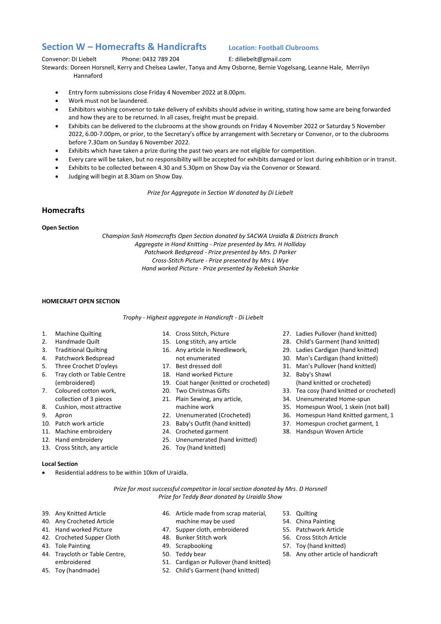# **Section W – Homecrafts & Handicrafts Location: Football Clubrooms**

Convenor: Di Liebelt Phone: 0432 789 204 E: diliebelt@gmail.com

Stewards: Doreen Horsnell, Kerry and Chelsea Lawler, Tanya and Amy Osborne, Bernie Vogelsang, Leanne Hale, Merrilyn Hannaford

- Entry form submissions close Friday 4 November 2022 at 8.00pm.
- Work must not be laundered.
- Exhibitors wishing convenor to take delivery of exhibits should advise in writing, stating how same are being forwarded and how they are to be returned. In all cases, freight must be prepaid.
- Exhibits can be delivered to the clubrooms at the show grounds on Friday 4 November 2022 or Saturday 5 November 2022, 6.00-7.00pm, or prior, to the Secretary's office by arrangement with Secretary or Convenor, or to the clubrooms before 7.30am on Sunday 6 November 2022.
- Exhibits which have taken a prize during the past two years are not eligible for competition.
- Every care will be taken, but no responsibility will be accepted for exhibits damaged or lost during exhibition or in transit.
- Exhibits to be collected between 4.30 and 5.30pm on Show Day via the Convenor or Steward.
- Judging will begin at 8.30am on Show Day.

*Prize for Aggregate in Section W donated by Di Liebelt*

# **Homecrafts**

# **Open Section**

*Champion Sash Homecrafts Open Section donated by SACWA Uraidla & Districts Branch Aggregate in Hand Knitting - Prize presented by Mrs. H Holliday Patchwork Bedspread - Prize presented by Mrs. D Parker Cross-Stitch Picture - Prize presented by Mrs L Wye Hand worked Picture - Prize presented by Rebekah Sharkie* 

# **HOMECRAFT OPEN SECTION**

## *Trophy - Highest aggregate in Handicraft - Di Liebelt*

- 1. Machine Quilting
- 2. Handmade Quilt
- 3. Traditional Quilting
- 4. Patchwork Bedspread
- 5. Three Crochet D'oyleys
- 6. Tray cloth or Table Centre (embroidered)
- 7. Coloured cotton work, collection of 3 pieces
- 8. Cushion, most attractive
- 9. Apron
- 10. Patch work article
- 11. Machine embroidery
- 12. Hand embroidery
- 13. Cross Stitch, any article

## **Local Section**

Residential address to be within 10km of Uraidla.

- 14. Cross Stitch, Picture
- 15. Long stitch, any article
- 16. Any article in Needlework, not enumerated
- 17. Best dressed doll
- 18. Hand worked Picture
- 19. Coat hanger (knitted or crocheted)
- 20. Two Christmas Gifts
- 21. Plain Sewing, any article, machine work
- 22. Unenumerated (Crocheted)
- 23. Baby's Outfit (hand knitted)
- 24. Crocheted garment
- 25. Unenumerated (hand knitted)
- 26. Toy (hand knitted)
- 27. Ladies Pullover (hand knitted)
- 28. Child's Garment (hand knitted)
- 29. Ladies Cardigan (hand knitted)
- 30. Man's Cardigan (hand knitted)
- 31. Man's Pullover (hand knitted)
- 32. Baby's Shawl
- (hand knitted or crocheted) 33. Tea cosy (hand knitted or crocheted)
- 
- 34. Unenumerated Home-spun
- 35. Homespun Wool, 1 skein (not ball)
- 36. Homespun Hand Knitted garment, 1
- 37. Homespun crochet garment, 1
- 38. Handspun Woven Article

*Prize for most successful competitor in local section donated by Mrs. D Horsnell Prize for Teddy Bear donated by Uraidla Show*

- 39. Any Knitted Article
- 40. Any Crocheted Article
- 41. Hand worked Picture
- 42. Crocheted Supper Cloth
- 43. Tole Painting
- 44. Traycloth or Table Centre, embroidered
- 45. Toy (handmade)
- 46. Article made from scrap material,
- machine may be used 47. Supper cloth, embroidered
- 48. Bunker Stitch work
- 49. Scrapbooking
- 50. Teddy bear
- 
- 51. Cardigan or Pullover (hand knitted)
- 52. Child's Garment (hand knitted)
- 53. Quilting
- 54. China Painting
- 57. Toy (hand knitted)
- 
- 55. Patchwork Article
	- 56. Cross Stitch Article
		- 58. Any other article of handicraft